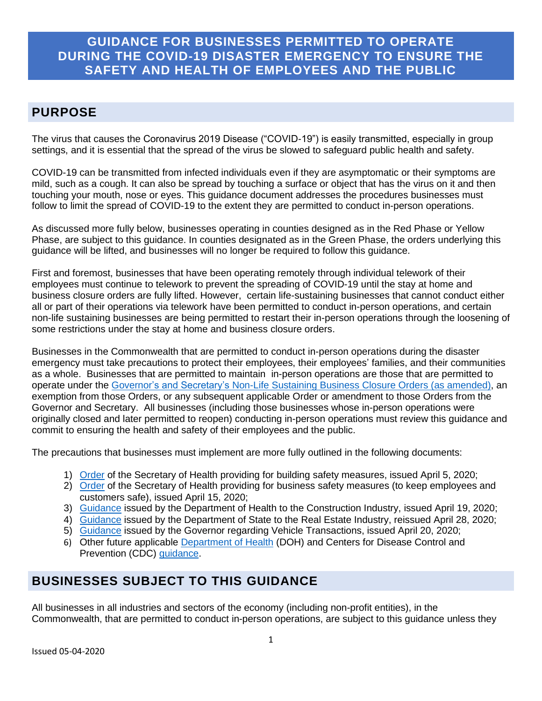# **GUIDANCE FOR BUSINESSES PERMITTED TO OPERATE DURING THE COVID-19 DISASTER EMERGENCY TO ENSURE THE SAFETY AND HEALTH OF EMPLOYEES AND THE PUBLIC**

# **PURPOSE**

The virus that causes the Coronavirus 2019 Disease ("COVID-19") is easily transmitted, especially in group settings, and it is essential that the spread of the virus be slowed to safeguard public health and safety.

COVID-19 can be transmitted from infected individuals even if they are asymptomatic or their symptoms are mild, such as a cough. It can also be spread by touching a surface or object that has the virus on it and then touching your mouth, nose or eyes. This guidance document addresses the procedures businesses must follow to limit the spread of COVID-19 to the extent they are permitted to conduct in-person operations.

As discussed more fully below, businesses operating in counties designed as in the Red Phase or Yellow Phase, are subject to this guidance. In counties designated as in the Green Phase, the orders underlying this guidance will be lifted, and businesses will no longer be required to follow this guidance.

First and foremost, businesses that have been operating remotely through individual telework of their employees must continue to telework to prevent the spreading of COVID-19 until the stay at home and business closure orders are fully lifted. However, certain life-sustaining businesses that cannot conduct either all or part of their operations via telework have been permitted to conduct in-person operations, and certain non-life sustaining businesses are being permitted to restart their in-person operations through the loosening of some restrictions under the stay at home and business closure orders.

Businesses in the Commonwealth that are permitted to conduct in-person operations during the disaster emergency must take precautions to protect their employees, their employees' families, and their communities as a whole. Businesses that are permitted to maintain in-person operations are those that are permitted to operate under the Governor's [and Secretary's Non-Life Sustaining](https://www.governor.pa.gov/newsroom/all-non-life-sustaining-businesses-in-pennsylvania-to-close-physical-locations-as-of-8-pm-today-to-slow-spread-of-covid-19/) Business Closure Orders [\(as amended\)](https://www.governor.pa.gov/newsroom/gov-wolf-announces-online-vehicle-sale-process-construction-restart-date-plcb-curbside-pick-up/), an exemption from those Orders, or any subsequent applicable Order or amendment to those Orders from the Governor and Secretary. All businesses (including those businesses whose in-person operations were originally closed and later permitted to reopen) conducting in-person operations must review this guidance and commit to ensuring the health and safety of their employees and the public.

The precautions that businesses must implement are more fully outlined in the following documents:

- 1) [Order](https://www.governor.pa.gov/wp-content/uploads/2020/04/20200405-SOH-Building-Safety-Measures.pdf) of the Secretary of Health providing for building safety measures, issued April 5, 2020;
- 2) [Order](https://www.governor.pa.gov/wp-content/uploads/2020/04/20200415-SOH-worker-safety-order.pdf) of the Secretary of Health providing for business safety measures (to keep employees and customers safe), issued April 15, 2020;
- 3) [Guidance](https://www.governor.pa.gov/wp-content/uploads/2020/04/20200423-Construction-Industry-Guidance.pdf) issued by the Department of Health to the Construction Industry, issued April 19, 2020;
- 4) [Guidance](https://www.dos.pa.gov/ProfessionalLicensing/BoardsCommissions/RealEstateCommission/Pages/default.aspx) issued by the Department of State to the Real Estate Industry, reissued April 28, 2020;
- 5) [Guidance](https://www.governor.pa.gov/wp-content/uploads/2020/04/20200420-COVID-19-Online-Vehicle-Transactions-Guidance.pdf) issued by the Governor regarding Vehicle Transactions, issued April 20, 2020;
- 6) Other future applicable [Department of Health](https://www.health.pa.gov/topics/disease/coronavirus/Pages/Coronavirus.aspx) (DOH) and Centers for Disease Control and Prevention (CDC) [guidance.](https://www.cdc.gov/coronavirus/2019-ncov/community/organizations/businesses-employers.html)

# **BUSINESSES SUBJECT TO THIS GUIDANCE**

All businesses in all industries and sectors of the economy (including non-profit entities), in the Commonwealth, that are permitted to conduct in-person operations, are subject to this guidance unless they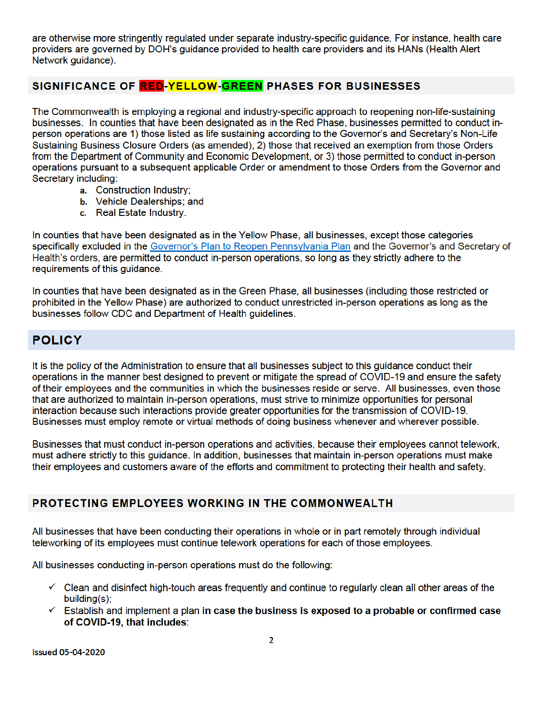are otherwise more stringently regulated under separate industry-specific guidance. For instance, health care providers are governed by DOH's guidance provided to health care providers and its HANs (Health Alert Network guidance).

#### SIGNIFICANCE OF **RED-YELLOW-GREEN** PHASES FOR BUSINESSES

The Commonwealth is employing a regional and industry-specific approach to reopening non-life-sustaining businesses. In counties that have been designated as in the Red Phase, businesses permitted to conduct inperson operations are 1) those listed as life sustaining according to the Governor's and Secretary's Non-Life Sustaining Business Closure Orders (as amended), 2) those that received an exemption from those Orders from the Department of Community and Economic Development, or 3) those permitted to conduct in-person operations pursuant to a subsequent applicable Order or amendment to those Orders from the Governor and Secretary including:

- a. Construction Industry;
- b. Vehicle Dealerships; and
- c. Real Estate Industry.

In counties that have been designated as in the Yellow Phase, all businesses, except those categories specifically excluded in the Governor's Plan to Reopen Pennsylvania Plan and the Governor's and Secretary of Health's orders, are permitted to conduct in-person operations, so long as they strictly adhere to the requirements of this guidance.

In counties that have been designated as in the Green Phase, all businesses (including those restricted or prohibited in the Yellow Phase) are authorized to conduct unrestricted in-person operations as long as the businesses follow CDC and Department of Health quidelines.

# **POLICY**

It is the policy of the Administration to ensure that all businesses subject to this guidance conduct their operations in the manner best designed to prevent or mitigate the spread of COVID-19 and ensure the safety of their employees and the communities in which the businesses reside or serve. All businesses, even those that are authorized to maintain in-person operations, must strive to minimize opportunities for personal interaction because such interactions provide greater opportunities for the transmission of COVID-19. Businesses must employ remote or virtual methods of doing business whenever and wherever possible.

Businesses that must conduct in-person operations and activities, because their employees cannot telework, must adhere strictly to this guidance. In addition, businesses that maintain in-person operations must make their employees and customers aware of the efforts and commitment to protecting their health and safety.

#### PROTECTING EMPLOYEES WORKING IN THE COMMONWEALTH

All businesses that have been conducting their operations in whole or in part remotely through individual teleworking of its employees must continue telework operations for each of those employees.

All businesses conducting in-person operations must do the following:

- $\checkmark$  Clean and disinfect high-touch areas frequently and continue to regularly clean all other areas of the  $building(s)$ ;
- $\checkmark$  Establish and implement a plan in case the business is exposed to a probable or confirmed case of COVID-19, that includes: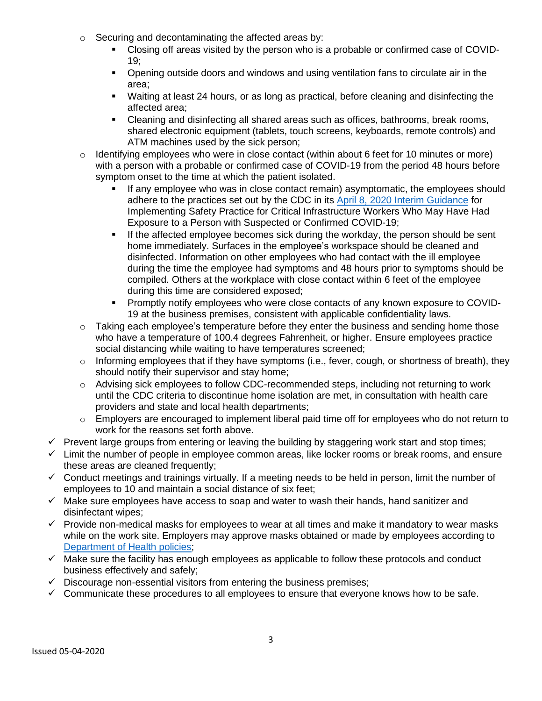- o Securing and decontaminating the affected areas by:
	- Closing off areas visited by the person who is a probable or confirmed case of COVID-19;
	- Opening outside doors and windows and using ventilation fans to circulate air in the area;
	- Waiting at least 24 hours, or as long as practical, before cleaning and disinfecting the affected area;
	- Cleaning and disinfecting all shared areas such as offices, bathrooms, break rooms, shared electronic equipment (tablets, touch screens, keyboards, remote controls) and ATM machines used by the sick person;
- o Identifying employees who were in close contact (within about 6 feet for 10 minutes or more) with a person with a probable or confirmed case of COVID-19 from the period 48 hours before symptom onset to the time at which the patient isolated.
	- If any employee who was in close contact remain) asymptomatic, the employees should adhere to the practices set out by the CDC in its [April 8, 2020 Interim Guidance](https://www.cdc.gov/coronavirus/2019-ncov/community/critical-workers/implementing-safety-practices.html) for Implementing Safety Practice for Critical Infrastructure Workers Who May Have Had Exposure to a Person with Suspected or Confirmed COVID-19;
	- **■** If the affected employee becomes sick during the workday, the person should be sent home immediately. Surfaces in the employee's workspace should be cleaned and disinfected. Information on other employees who had contact with the ill employee during the time the employee had symptoms and 48 hours prior to symptoms should be compiled. Others at the workplace with close contact within 6 feet of the employee during this time are considered exposed;
	- Promptly notify employees who were close contacts of any known exposure to COVID-19 at the business premises, consistent with applicable confidentiality laws.
- o Taking each employee's temperature before they enter the business and sending home those who have a temperature of 100.4 degrees Fahrenheit, or higher. Ensure employees practice social distancing while waiting to have temperatures screened;
- $\circ$  Informing employees that if they have symptoms (i.e., fever, cough, or shortness of breath), they should notify their supervisor and stay home;
- $\circ$  Advising sick employees to follow [CDC-recommended steps,](https://www.cdc.gov/coronavirus/2019-ncov/if-you-are-sick/steps-when-sick.html) including not returning to work until the CDC criteria to discontinue home isolation are met, in consultation with health care providers and state and local health departments;
- o Employers are encouraged to implement liberal paid time off for employees who do not return to work for the reasons set forth above.
- ✓ Prevent large groups from entering or leaving the building by staggering work start and stop times;
- $\checkmark$  Limit the number of people in employee common areas, like locker rooms or break rooms, and ensure these areas are cleaned frequently;
- $\checkmark$  Conduct meetings and trainings virtually. If a meeting needs to be held in person, limit the number of employees to 10 and maintain a social distance of six feet;
- $\checkmark$  Make sure employees have access to soap and water to wash their hands, hand sanitizer and disinfectant wipes;
- $\checkmark$  Provide non-medical masks for employees to wear at all times and make it mandatory to wear masks while on the work site. Employers may approve masks obtained or made by employees according to [Department](https://www.health.pa.gov/topics/disease/coronavirus/Pages/Stop-the-Spread.aspx) of Health policies:
- $\checkmark$  Make sure the facility has enough employees as applicable to follow these protocols and conduct business effectively and safely;
- $\checkmark$  Discourage non-essential visitors from entering the business premises;
- $\checkmark$  Communicate these procedures to all employees to ensure that everyone knows how to be safe.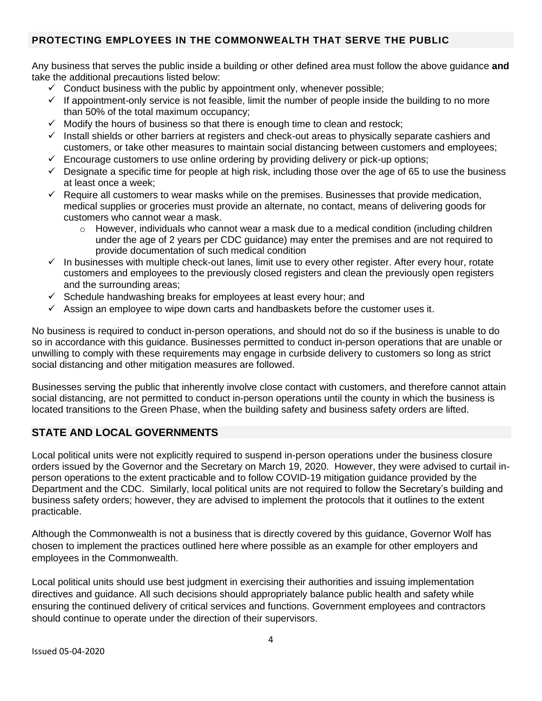#### **PROTECTING EMPLOYEES IN THE COMMONWEALTH THAT SERVE THE PUBLIC**

Any business that serves the public inside a building or other defined area must follow the above guidance **and** take the additional precautions listed below:

- $\checkmark$  Conduct business with the public by appointment only, whenever possible;
- $\checkmark$  If appointment-only service is not feasible, limit the number of people inside the building to no more than 50% of the total maximum occupancy;
- $\checkmark$  Modify the hours of business so that there is enough time to clean and restock;
- ✓ Install shields or other barriers at registers and check-out areas to physically separate cashiers and customers, or take other measures to maintain social distancing between customers and employees;
- $\checkmark$  Encourage customers to use online ordering by providing delivery or pick-up options;
- $\checkmark$  Designate a specific time for people at high risk, including those over the age of 65 to use the business at least once a week;
- $\checkmark$  Require all customers to wear masks while on the premises. Businesses that provide medication, medical supplies or groceries must provide an alternate, no contact, means of delivering goods for customers who cannot wear a mask.
	- $\circ$  However, individuals who cannot wear a mask due to a medical condition (including children under the age of 2 years per CDC guidance) may enter the premises and are not required to provide documentation of such medical condition
- $\checkmark$  In businesses with multiple check-out lanes, limit use to every other register. After every hour, rotate customers and employees to the previously closed registers and clean the previously open registers and the surrounding areas;
- $\checkmark$  Schedule handwashing breaks for employees at least every hour; and
- $\checkmark$  Assign an employee to wipe down carts and handbaskets before the customer uses it.

No business is required to conduct in-person operations, and should not do so if the business is unable to do so in accordance with this guidance. Businesses permitted to conduct in-person operations that are unable or unwilling to comply with these requirements may engage in curbside delivery to customers so long as strict social distancing and other mitigation measures are followed.

Businesses serving the public that inherently involve close contact with customers, and therefore cannot attain social distancing, are not permitted to conduct in-person operations until the county in which the business is located transitions to the Green Phase, when the building safety and business safety orders are lifted.

#### **STATE AND LOCAL GOVERNMENTS**

Local political units were not explicitly required to suspend in-person operations under the business closure orders issued by the Governor and the Secretary on March 19, 2020. However, they were advised to curtail inperson operations to the extent practicable and to follow COVID-19 mitigation guidance provided by the Department and the CDC. Similarly, local political units are not required to follow the Secretary's building and business safety orders; however, they are advised to implement the protocols that it outlines to the extent practicable.

Although the Commonwealth is not a business that is directly covered by this guidance, Governor Wolf has chosen to implement the practices outlined here where possible as an example for other employers and employees in the Commonwealth.

Local political units should use best judgment in exercising their authorities and issuing implementation directives and guidance. All such decisions should appropriately balance public health and safety while ensuring the continued delivery of critical services and functions. Government employees and contractors should continue to operate under the direction of their supervisors.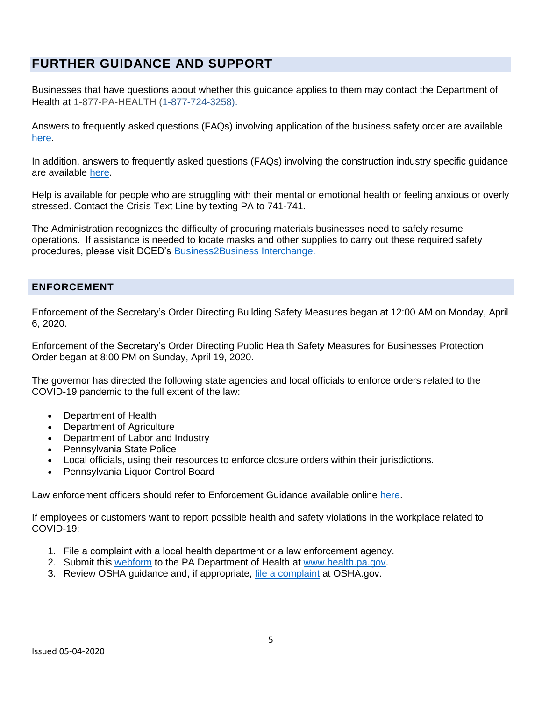# **FURTHER GUIDANCE AND SUPPORT**

Businesses that have questions about whether this guidance applies to them may contact the Department of Health at 1-877-PA-HEALTH [\(1-877-724-3258\).](tel:1-877-724-3258)

Answers to frequently asked questions (FAQs) involving application of the business safety order are available [here.](https://www.health.pa.gov/topics/Documents/Diseases%20and%20Conditions/COVID-19%20Workplace%20Safety%20Questions.pdf)

In addition, answers to frequently asked questions (FAQs) involving the construction industry specific guidance are available [here.](https://www.dli.pa.gov/Individuals/Labor-Management-Relations/bois/BOISFAQs/Pages/Construction-Guidance-COVID19.aspx)

Help is available for people who are struggling with their mental or emotional health or feeling anxious or overly stressed. Contact the Crisis Text Line by texting PA to 741-741.

The Administration recognizes the difficulty of procuring materials businesses need to safely resume operations. If assistance is needed to locate masks and other supplies to carry out these required safety procedures, please visit DCED's Business2Business Interchange.

#### **ENFORCEMENT**

Enforcement of the Secretary's Order Directing Building Safety Measures began at 12:00 AM on Monday, April 6, 2020.

Enforcement of the Secretary's Order Directing Public Health Safety Measures for Businesses Protection Order began at 8:00 PM on Sunday, April 19, 2020.

The governor has directed the following state agencies and local officials to enforce orders related to the COVID-19 pandemic to the full extent of the law:

- Department of Health
- Department of Agriculture
- Department of Labor and Industry
- Pennsylvania State Police
- Local officials, using their resources to enforce closure orders within their jurisdictions.
- Pennsylvania Liquor Control Board

Law enforcement officers should refer to Enforcement Guidance available online [here.](https://www.psp.pa.gov/Documents/Public%20Documents/Letter%20LEO%20Community.pdf)

If employees or customers want to report possible health and safety violations in the workplace related to COVID-19:

- 1. File a complaint with a local health department or a law enforcement agency.
- 2. Submit this [webform](https://expressforms.pa.gov/apps/pa/doh/COVID-19-Complaint) to the PA Department of Health at [www.health.pa.gov.](http://www.health.pa.gov/)
- 3. Review OSHA guidance and, if appropriate, [file a complaint](https://www.osha.gov/pls/osha7/eComplaintForm.html) at OSHA.gov.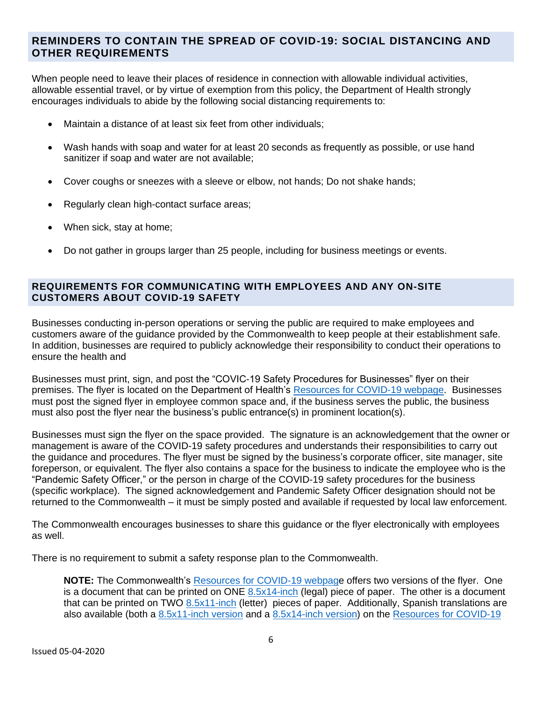#### **REMINDERS TO CONTAIN THE SPREAD OF COVID-19: SOCIAL DISTANCING AND OTHER REQUIREMENTS**

When people need to leave their places of residence in connection with allowable individual activities, allowable essential travel, or by virtue of exemption from this policy, the Department of Health strongly encourages individuals to abide by the following social distancing requirements to:

- Maintain a distance of at least six feet from other individuals;
- Wash hands with soap and water for at least 20 seconds as frequently as possible, or use hand sanitizer if soap and water are not available;
- Cover coughs or sneezes with a sleeve or elbow, not hands; Do not shake hands;
- Regularly clean high-contact surface areas;
- When sick, stay at home;
- Do not gather in groups larger than 25 people, including for business meetings or events.

#### **REQUIREMENTS FOR COMMUNICATING WITH EMPLOYEES AND ANY ON-SITE CUSTOMERS ABOUT COVID-19 SAFETY**

Businesses conducting in-person operations or serving the public are required to make employees and customers aware of the guidance provided by the Commonwealth to keep people at their establishment safe. In addition, businesses are required to publicly acknowledge their responsibility to conduct their operations to ensure the health and

Businesses must print, sign, and post the "COVIC-19 Safety Procedures for Businesses" flyer on their premises. The flyer is located on the Department of Health's [Resources for COVID-19 webpage.](Resources%20for%20COVID-19%20webpage) Businesses must post the signed flyer in employee common space and, if the business serves the public, the business must also post the flyer near the business's public entrance(s) in prominent location(s).

Businesses must sign the flyer on the space provided. The signature is an acknowledgement that the owner or management is aware of the COVID-19 safety procedures and understands their responsibilities to carry out the guidance and procedures. The flyer must be signed by the business's corporate officer, site manager, site foreperson, or equivalent. The flyer also contains a space for the business to indicate the employee who is the "Pandemic Safety Officer," or the person in charge of the COVID-19 safety procedures for the business (specific workplace). The signed acknowledgement and Pandemic Safety Officer designation should not be returned to the Commonwealth – it must be simply posted and available if requested by local law enforcement.

The Commonwealth encourages businesses to share this guidance or the flyer electronically with employees as well.

There is no requirement to submit a safety response plan to the Commonwealth.

**NOTE:** The Commonwealth's [Resources for COVID-19 webpage](https://www.pa.gov/guides/responding-to-covid-19/) offers two versions of the flyer. One is a document that can be printed on ONE [8.5x14-inch](https://www.pa.gov/wp-content/uploads/2020/04/COVID-19-Reopening-Businesses-Flyer-8-5x14-1.pdf) (legal) piece of paper. The other is a document that can be printed on TWO [8.5x11-inch](https://www.pa.gov/wp-content/uploads/2020/04/COVID-19-Reopening-Businesses-Flyer-8-5x11-1.pdf) (letter) pieces of paper. Additionally, Spanish translations are also available (both a [8.5x11-inch](https://www.pa.gov/wp-content/uploads/2020/04/Spanish-COVID-19-Reopening-Businesses-Flyer-8-5x11-1.pdf) version and a [8.5x14-inch](https://www.pa.gov/wp-content/uploads/2020/04/Spanish-COVID-19-Reopening-Businesses-Flyer-8-5x14-1.pdf) version) on the [Resources for COVID-19](https://www.pa.gov/guides/responding-to-covid-19/)